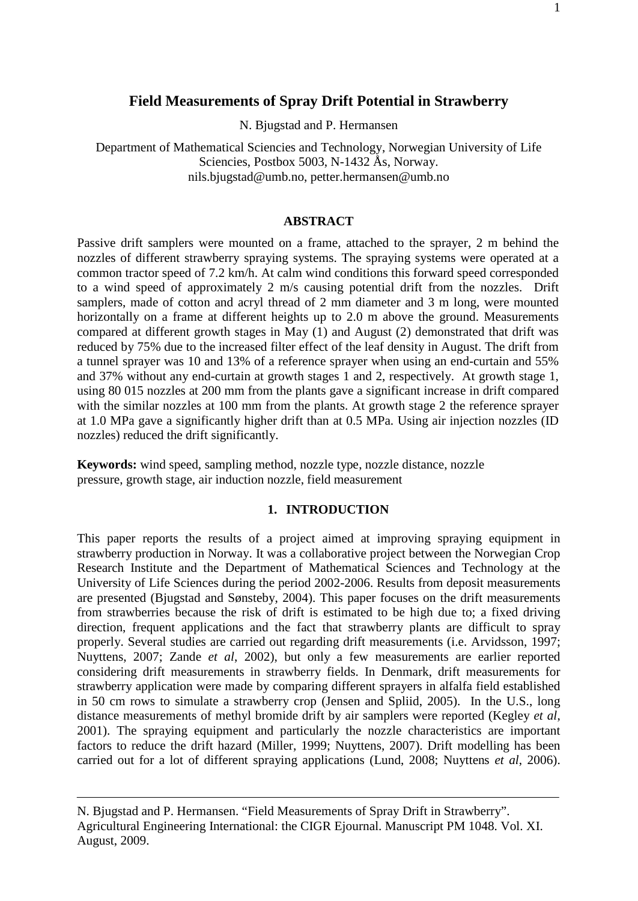N. Bjugstad and P. Hermansen

Department of Mathematical Sciencies and Technology, Norwegian University of Life Sciencies, Postbox 5003, N-1432 Ås, Norway. [nils.bjugstad@umb.no,](mailto:nils.bjugstad@umb.no) [petter.hermansen@umb.no](mailto:petter.hermansen@umb.no)

### **ABSTRACT**

Passive drift samplers were mounted on a frame, attached to the sprayer, 2 m behind the nozzles of different strawberry spraying systems. The spraying systems were operated at a common tractor speed of 7.2 km/h. At calm wind conditions this forward speed corresponded to a wind speed of approximately 2 m/s causing potential drift from the nozzles. Drift samplers, made of cotton and acryl thread of 2 mm diameter and 3 m long, were mounted horizontally on a frame at different heights up to 2.0 m above the ground. Measurements compared at different growth stages in May (1) and August (2) demonstrated that drift was reduced by 75% due to the increased filter effect of the leaf density in August. The drift from a tunnel sprayer was 10 and 13% of a reference sprayer when using an end-curtain and 55% and 37% without any end-curtain at growth stages 1 and 2, respectively. At growth stage 1, using 80 015 nozzles at 200 mm from the plants gave a significant increase in drift compared with the similar nozzles at 100 mm from the plants. At growth stage 2 the reference sprayer at 1.0 MPa gave a significantly higher drift than at 0.5 MPa. Using air injection nozzles (ID nozzles) reduced the drift significantly.

**Keywords:** wind speed, sampling method, nozzle type, nozzle distance, nozzle pressure, growth stage, air induction nozzle, field measurement

# **1. INTRODUCTION**

This paper reports the results of a project aimed at improving spraying equipment in strawberry production in Norway. It was a collaborative project between the Norwegian Crop Research Institute and the Department of Mathematical Sciences and Technology at the University of Life Sciences during the period 2002-2006. Results from deposit measurements are presented (Bjugstad and Sønsteby, 2004). This paper focuses on the drift measurements from strawberries because the risk of drift is estimated to be high due to; a fixed driving direction, frequent applications and the fact that strawberry plants are difficult to spray properly. Several studies are carried out regarding drift measurements (i.e. Arvidsson, 1997; Nuyttens, 2007; Zande *et al*, 2002), but only a few measurements are earlier reported considering drift measurements in strawberry fields. In Denmark, drift measurements for strawberry application were made by comparing different sprayers in alfalfa field established in 50 cm rows to simulate a strawberry crop (Jensen and Spliid, 2005). In the U.S., long distance measurements of methyl bromide drift by air samplers were reported (Kegley *et al*, 2001). The spraying equipment and particularly the nozzle characteristics are important factors to reduce the drift hazard (Miller, 1999; Nuyttens, 2007). Drift modelling has been carried out for a lot of different spraying applications (Lund, 2008; Nuyttens *et al*, 2006).

N. Bjugstad and P. Hermansen. "Field Measurements of Spray Drift in Strawberry". Agricultural Engineering International: the CIGR Ejournal. Manuscript PM 1048. Vol. XI. August, 2009.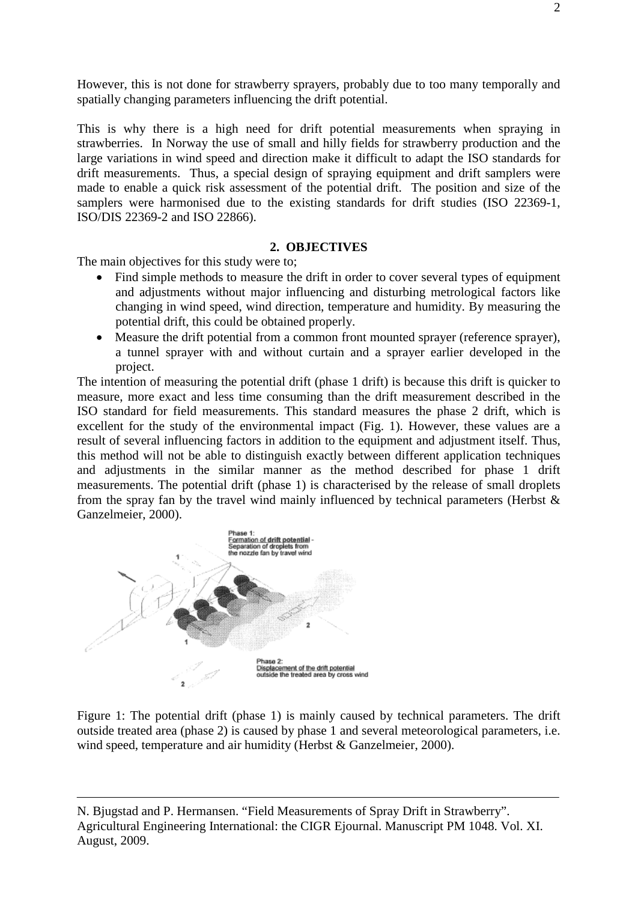However, this is not done for strawberry sprayers, probably due to too many temporally and spatially changing parameters influencing the drift potential.

This is why there is a high need for drift potential measurements when spraying in strawberries. In Norway the use of small and hilly fields for strawberry production and the large variations in wind speed and direction make it difficult to adapt the ISO standards for drift measurements. Thus, a special design of spraying equipment and drift samplers were made to enable a quick risk assessment of the potential drift. The position and size of the samplers were harmonised due to the existing standards for drift studies (ISO 22369-1, ISO/DIS 22369-2 and ISO 22866).

### **2. OBJECTIVES**

The main objectives for this study were to;

- Find simple methods to measure the drift in order to cover several types of equipment and adjustments without major influencing and disturbing metrological factors like changing in wind speed, wind direction, temperature and humidity. By measuring the potential drift, this could be obtained properly.
- Measure the drift potential from a common front mounted sprayer (reference sprayer), a tunnel sprayer with and without curtain and a sprayer earlier developed in the project.

The intention of measuring the potential drift (phase 1 drift) is because this drift is quicker to measure, more exact and less time consuming than the drift measurement described in the ISO standard for field measurements. This standard measures the phase 2 drift, which is excellent for the study of the environmental impact (Fig. 1). However, these values are a result of several influencing factors in addition to the equipment and adjustment itself. Thus, this method will not be able to distinguish exactly between different application techniques and adjustments in the similar manner as the method described for phase 1 drift measurements. The potential drift (phase 1) is characterised by the release of small droplets from the spray fan by the travel wind mainly influenced by technical parameters (Herbst  $\&$ Ganzelmeier, 2000).



Figure 1: The potential drift (phase 1) is mainly caused by technical parameters. The drift outside treated area (phase 2) is caused by phase 1 and several meteorological parameters, i.e. wind speed, temperature and air humidity (Herbst & Ganzelmeier, 2000).

N. Bjugstad and P. Hermansen. "Field Measurements of Spray Drift in Strawberry". Agricultural Engineering International: the CIGR Ejournal. Manuscript PM 1048. Vol. XI. August, 2009.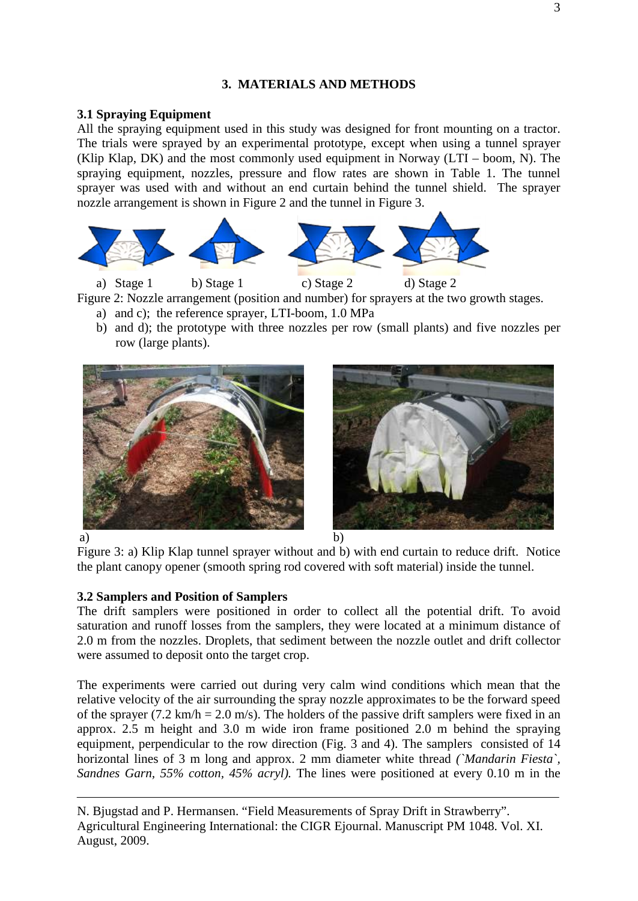# **3. MATERIALS AND METHODS**

### **3.1 Spraying Equipment**

All the spraying equipment used in this study was designed for front mounting on a tractor. The trials were sprayed by an experimental prototype, except when using a tunnel sprayer (Klip Klap, DK) and the most commonly used equipment in Norway (LTI – boom, N). The spraying equipment, nozzles, pressure and flow rates are shown in Table 1. The tunnel sprayer was used with and without an end curtain behind the tunnel shield. The sprayer nozzle arrangement is shown in Figure 2 and the tunnel in Figure 3.



a) Stage 1 b) Stage 1 c) Stage 2 d) Stage 2 Figure 2: Nozzle arrangement (position and number) for sprayers at the two growth stages.

- a) and c); the reference sprayer, LTI-boom, 1.0 MPa
- b) and d); the prototype with three nozzles per row (small plants) and five nozzles per row (large plants).





Figure 3: a) Klip Klap tunnel sprayer without and b) with end curtain to reduce drift. Notice the plant canopy opener (smooth spring rod covered with soft material) inside the tunnel.

# **3.2 Samplers and Position of Samplers**

The drift samplers were positioned in order to collect all the potential drift. To avoid saturation and runoff losses from the samplers, they were located at a minimum distance of 2.0 m from the nozzles. Droplets, that sediment between the nozzle outlet and drift collector were assumed to deposit onto the target crop.

The experiments were carried out during very calm wind conditions which mean that the relative velocity of the air surrounding the spray nozzle approximates to be the forward speed of the sprayer (7.2 km/h = 2.0 m/s). The holders of the passive drift samplers were fixed in an approx. 2.5 m height and 3.0 m wide iron frame positioned 2.0 m behind the spraying equipment, perpendicular to the row direction (Fig. 3 and 4). The samplers consisted of 14 horizontal lines of 3 m long and approx. 2 mm diameter white thread *(`Mandarin Fiesta`, Sandnes Garn, 55% cotton, 45% acryl).* The lines were positioned at every 0.10 m in the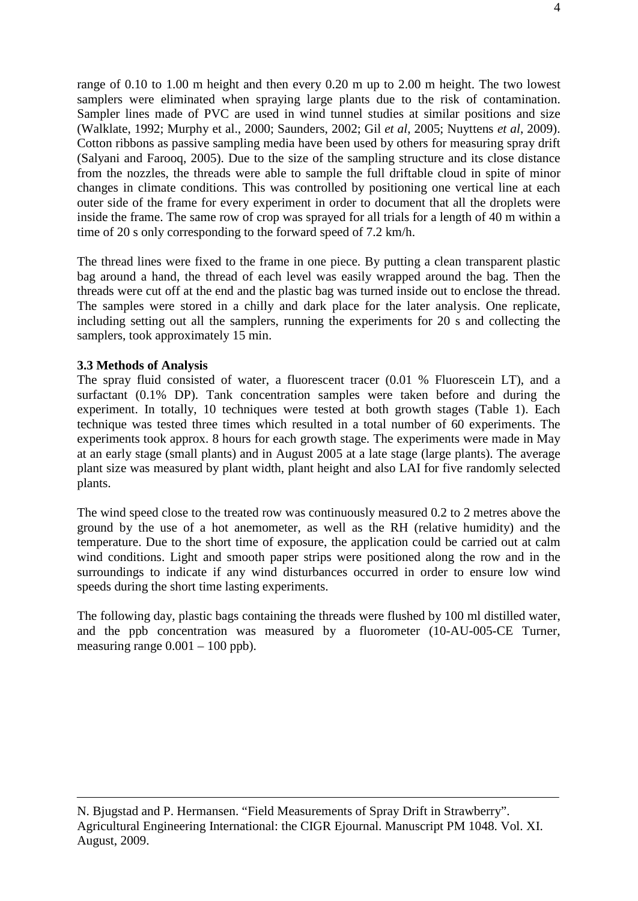range of 0.10 to 1.00 m height and then every 0.20 m up to 2.00 m height. The two lowest samplers were eliminated when spraying large plants due to the risk of contamination. Sampler lines made of PVC are used in wind tunnel studies at similar positions and size (Walklate, 1992; Murphy et al., 2000; Saunders, 2002; Gil *et al*, 2005; Nuyttens *et al*, 2009). Cotton ribbons as passive sampling media have been used by others for measuring spray drift (Salyani and Farooq, 2005). Due to the size of the sampling structure and its close distance from the nozzles, the threads were able to sample the full driftable cloud in spite of minor changes in climate conditions. This was controlled by positioning one vertical line at each outer side of the frame for every experiment in order to document that all the droplets were inside the frame. The same row of crop was sprayed for all trials for a length of 40 m within a time of 20 s only corresponding to the forward speed of 7.2 km/h.

The thread lines were fixed to the frame in one piece. By putting a clean transparent plastic bag around a hand, the thread of each level was easily wrapped around the bag. Then the threads were cut off at the end and the plastic bag was turned inside out to enclose the thread. The samples were stored in a chilly and dark place for the later analysis. One replicate, including setting out all the samplers, running the experiments for 20 s and collecting the samplers, took approximately 15 min.

### **3.3 Methods of Analysis**

The spray fluid consisted of water, a fluorescent tracer (0.01 % Fluorescein LT), and a surfactant (0.1% DP). Tank concentration samples were taken before and during the experiment. In totally, 10 techniques were tested at both growth stages (Table 1). Each technique was tested three times which resulted in a total number of 60 experiments. The experiments took approx. 8 hours for each growth stage. The experiments were made in May at an early stage (small plants) and in August 2005 at a late stage (large plants). The average plant size was measured by plant width, plant height and also LAI for five randomly selected plants.

The wind speed close to the treated row was continuously measured 0.2 to 2 metres above the ground by the use of a hot anemometer, as well as the RH (relative humidity) and the temperature. Due to the short time of exposure, the application could be carried out at calm wind conditions. Light and smooth paper strips were positioned along the row and in the surroundings to indicate if any wind disturbances occurred in order to ensure low wind speeds during the short time lasting experiments.

The following day, plastic bags containing the threads were flushed by 100 ml distilled water, and the ppb concentration was measured by a fluorometer (10-AU-005-CE Turner, measuring range  $0.001 - 100$  ppb).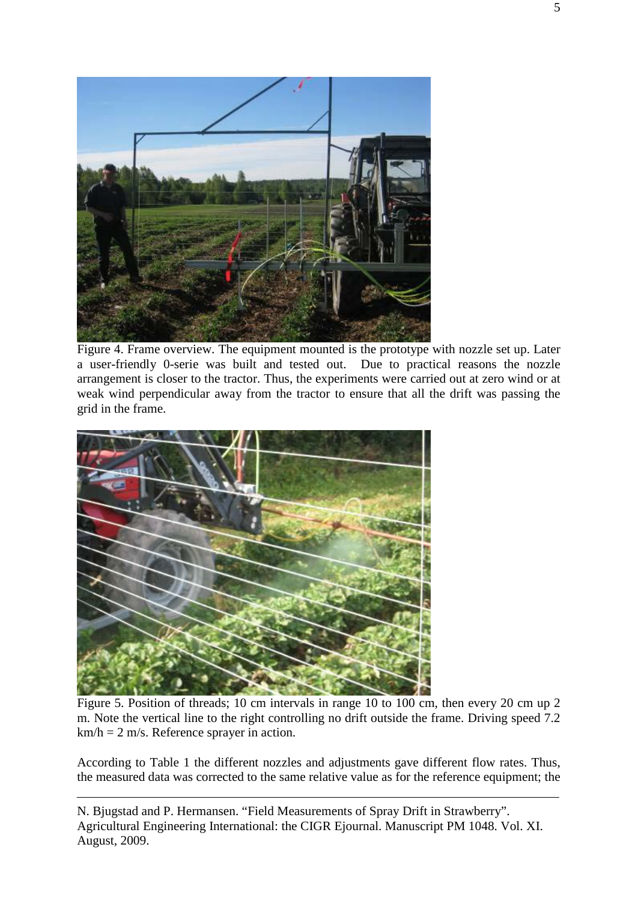

Figure 4. Frame overview. The equipment mounted is the prototype with nozzle set up. Later a user-friendly 0-serie was built and tested out. Due to practical reasons the nozzle arrangement is closer to the tractor. Thus, the experiments were carried out at zero wind or at weak wind perpendicular away from the tractor to ensure that all the drift was passing the grid in the frame.



Figure 5. Position of threads; 10 cm intervals in range 10 to 100 cm, then every 20 cm up 2 m. Note the vertical line to the right controlling no drift outside the frame. Driving speed 7.2  $km/h = 2$  m/s. Reference sprayer in action.

According to Table 1 the different nozzles and adjustments gave different flow rates. Thus, the measured data was corrected to the same relative value as for the reference equipment; the

N. Bjugstad and P. Hermansen. "Field Measurements of Spray Drift in Strawberry". Agricultural Engineering International: the CIGR Ejournal. Manuscript PM 1048. Vol. XI. August, 2009.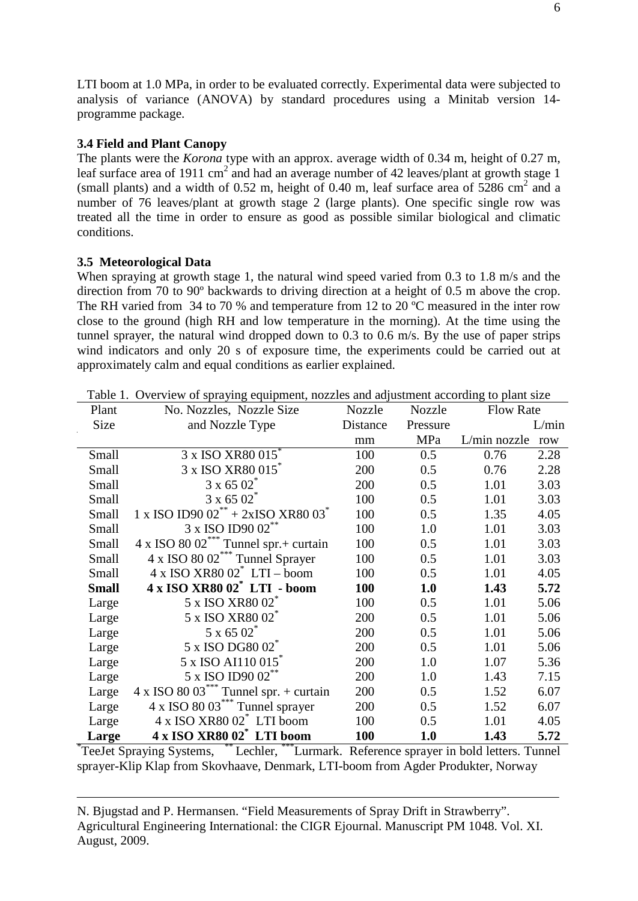LTI boom at 1.0 MPa, in order to be evaluated correctly. Experimental data were subjected to analysis of variance (ANOVA) by standard procedures using a Minitab version 14 programme package.

### **3.4 Field and Plant Canopy**

The plants were the *Korona* type with an approx. average width of 0.34 m, height of 0.27 m, leaf surface area of 1911 cm<sup>2</sup> and had an average number of 42 leaves/plant at growth stage 1 (small plants) and a width of  $0.52$  m, height of  $0.40$  m, leaf surface area of  $5286$  cm<sup>2</sup> and a number of 76 leaves/plant at growth stage 2 (large plants). One specific single row was treated all the time in order to ensure as good as possible similar biological and climatic conditions.

### **3.5 Meteorological Data**

When spraying at growth stage 1, the natural wind speed varied from 0.3 to 1.8 m/s and the direction from 70 to 90º backwards to driving direction at a height of 0.5 m above the crop. The RH varied from 34 to 70 % and temperature from 12 to 20 °C measured in the inter row close to the ground (high RH and low temperature in the morning). At the time using the tunnel sprayer, the natural wind dropped down to 0.3 to 0.6 m/s. By the use of paper strips wind indicators and only 20 s of exposure time, the experiments could be carried out at approximately calm and equal conditions as earlier explained.

| Plant                                                                                       | No. Nozzles, Nozzle Size                                   | Nozzle   | <b>Nozzle</b> | <b>Flow Rate</b> |       |
|---------------------------------------------------------------------------------------------|------------------------------------------------------------|----------|---------------|------------------|-------|
| Size                                                                                        | and Nozzle Type                                            | Distance | Pressure      |                  | L/min |
|                                                                                             |                                                            | mm       | MPa           | L/min nozzle     | row   |
| Small                                                                                       | 3 x ISO XR80 015 <sup>*</sup>                              | 100      | 0.5           | 0.76             | 2.28  |
| Small                                                                                       | 3 x ISO XR80 015*                                          | 200      | 0.5           | 0.76             | 2.28  |
| Small                                                                                       | $3 \times 6502$                                            | 200      | 0.5           | 1.01             | 3.03  |
| Small                                                                                       | $3 \times 6502$                                            | 100      | 0.5           | 1.01             | 3.03  |
| Small                                                                                       | 1 x ISO ID90 02 <sup>**</sup> + 2xISO XR80 03 <sup>*</sup> | 100      | 0.5           | 1.35             | 4.05  |
| Small                                                                                       | 3 x ISO ID90 02**                                          | 100      | 1.0           | 1.01             | 3.03  |
| Small                                                                                       | $4 \times$ ISO 80 02 <sup>***</sup> Tunnel spr.+ curtain   | 100      | 0.5           | 1.01             | 3.03  |
| Small                                                                                       | 4 x ISO 80 02 <sup>***</sup> Tunnel Sprayer                | 100      | 0.5           | 1.01             | 3.03  |
| Small                                                                                       | $4 \times$ ISO XR80 02 $^*$ LTI – boom                     | 100      | 0.5           | 1.01             | 4.05  |
| <b>Small</b>                                                                                | 4 x ISO XR80 02 <sup>*</sup> LTI - boom                    | 100      | 1.0           | 1.43             | 5.72  |
| Large                                                                                       | 5 x ISO XR80 02 <sup>*</sup>                               | 100      | 0.5           | 1.01             | 5.06  |
| Large                                                                                       | 5 x ISO XR80 02 <sup>*</sup>                               | 200      | 0.5           | 1.01             | 5.06  |
| Large                                                                                       | $5 \times 6502$                                            | 200      | 0.5           | 1.01             | 5.06  |
| Large                                                                                       | 5 x ISO DG80 02*                                           | 200      | 0.5           | 1.01             | 5.06  |
| Large                                                                                       | 5 x ISO AI110 015 <sup>*</sup>                             | 200      | 1.0           | 1.07             | 5.36  |
| Large                                                                                       | 5 x ISO ID90 02 <sup>**</sup>                              | 200      | 1.0           | 1.43             | 7.15  |
| Large                                                                                       | $4 \times$ ISO 80 03 <sup>***</sup> Tunnel spr. + curtain  | 200      | 0.5           | 1.52             | 6.07  |
| Large                                                                                       | 4 x ISO 80 03*** Tunnel sprayer                            | 200      | 0.5           | 1.52             | 6.07  |
| Large                                                                                       | 4 x ISO XR80 02 <sup>*</sup> LTI boom                      | 100      | 0.5           | 1.01             | 4.05  |
| Large                                                                                       | 4 x ISO XR80 02* LTI boom                                  | 100      | 1.0           | 1.43             | 5.72  |
| TeeJet Spraying Systems, ** Lechler, *** Lurmark. Reference sprayer in bold letters. Tunnel |                                                            |          |               |                  |       |

Table 1. Overview of spraying equipment, nozzles and adjustment according to plant size

sprayer-Klip Klap from Skovhaave, Denmark, LTI-boom from Agder Produkter, Norway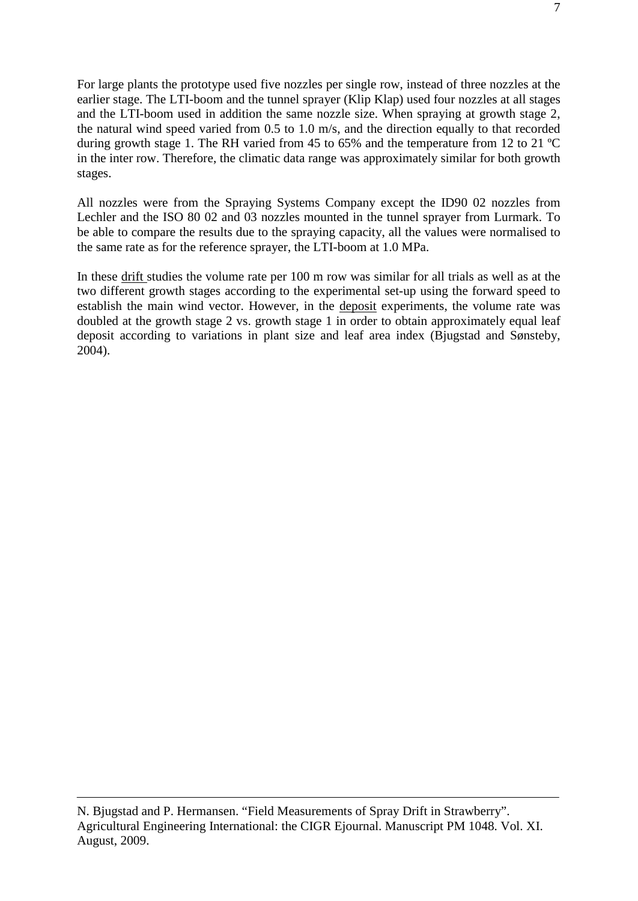For large plants the prototype used five nozzles per single row, instead of three nozzles at the earlier stage. The LTI-boom and the tunnel sprayer (Klip Klap) used four nozzles at all stages and the LTI-boom used in addition the same nozzle size. When spraying at growth stage 2, the natural wind speed varied from 0.5 to 1.0 m/s, and the direction equally to that recorded during growth stage 1. The RH varied from 45 to 65% and the temperature from 12 to 21 ºC in the inter row. Therefore, the climatic data range was approximately similar for both growth stages.

All nozzles were from the Spraying Systems Company except the ID90 02 nozzles from Lechler and the ISO 80 02 and 03 nozzles mounted in the tunnel sprayer from Lurmark. To be able to compare the results due to the spraying capacity, all the values were normalised to the same rate as for the reference sprayer, the LTI-boom at 1.0 MPa.

In these drift studies the volume rate per 100 m row was similar for all trials as well as at the two different growth stages according to the experimental set-up using the forward speed to establish the main wind vector. However, in the deposit experiments, the volume rate was doubled at the growth stage 2 vs. growth stage 1 in order to obtain approximately equal leaf deposit according to variations in plant size and leaf area index (Bjugstad and Sønsteby, 2004).

N. Bjugstad and P. Hermansen. "Field Measurements of Spray Drift in Strawberry". Agricultural Engineering International: the CIGR Ejournal. Manuscript PM 1048. Vol. XI. August, 2009.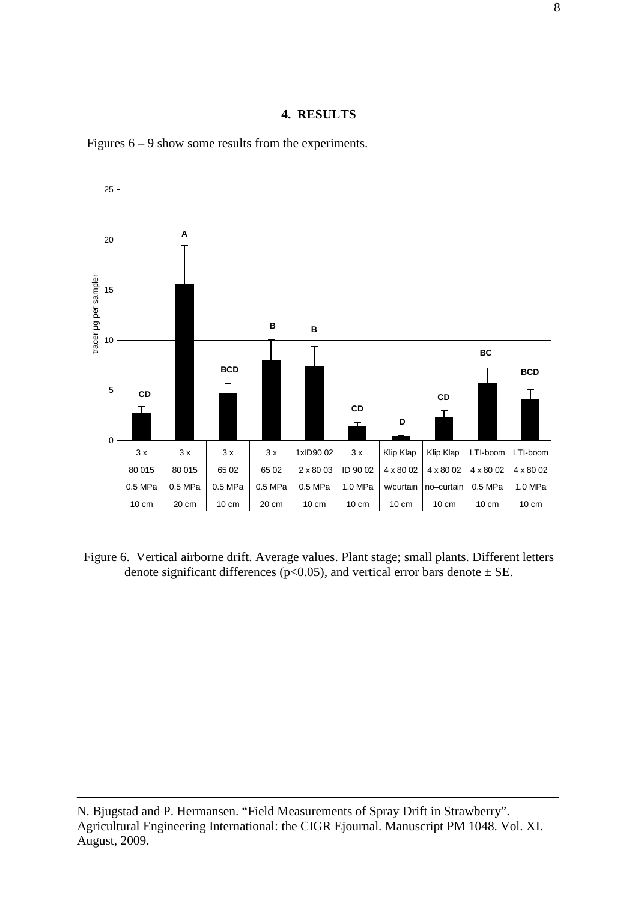### **4. RESULTS**





Figure 6. Vertical airborne drift. Average values. Plant stage; small plants. Different letters denote significant differences ( $p<0.05$ ), and vertical error bars denote  $\pm$  SE.

N. Bjugstad and P. Hermansen. "Field Measurements of Spray Drift in Strawberry". Agricultural Engineering International: the CIGR Ejournal. Manuscript PM 1048. Vol. XI. August, 2009.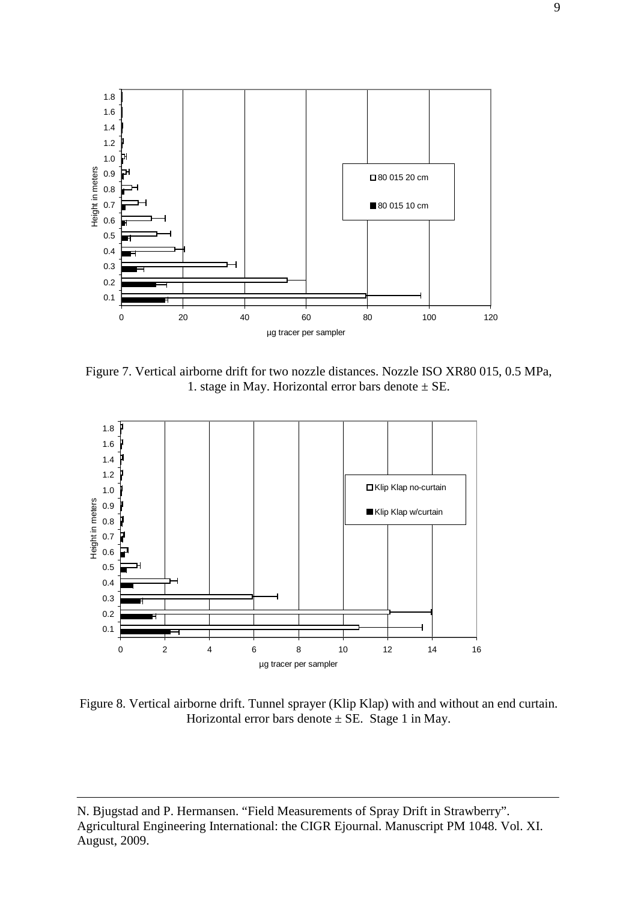

Figure 7. Vertical airborne drift for two nozzle distances. Nozzle ISO XR80 015, 0.5 MPa, 1. stage in May. Horizontal error bars denote  $\pm$  SE.



Figure 8. Vertical airborne drift. Tunnel sprayer (Klip Klap) with and without an end curtain. Horizontal error bars denote  $\pm$  SE. Stage 1 in May.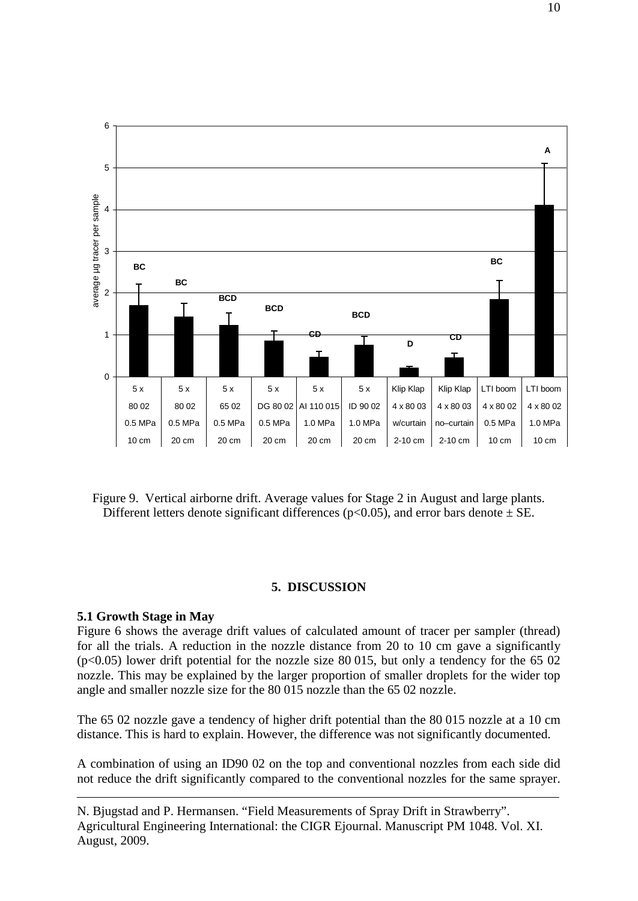

Figure 9. Vertical airborne drift. Average values for Stage 2 in August and large plants. Different letters denote significant differences ( $p<0.05$ ), and error bars denote  $\pm$  SE.

### **5. DISCUSSION**

#### **5.1 Growth Stage in May**

Figure 6 shows the average drift values of calculated amount of tracer per sampler (thread) for all the trials. A reduction in the nozzle distance from 20 to 10 cm gave a significantly  $(p<0.05)$  lower drift potential for the nozzle size 80 015, but only a tendency for the 65 02 nozzle. This may be explained by the larger proportion of smaller droplets for the wider top angle and smaller nozzle size for the 80 015 nozzle than the 65 02 nozzle.

The 65 02 nozzle gave a tendency of higher drift potential than the 80 015 nozzle at a 10 cm distance. This is hard to explain. However, the difference was not significantly documented.

A combination of using an ID90 02 on the top and conventional nozzles from each side did not reduce the drift significantly compared to the conventional nozzles for the same sprayer.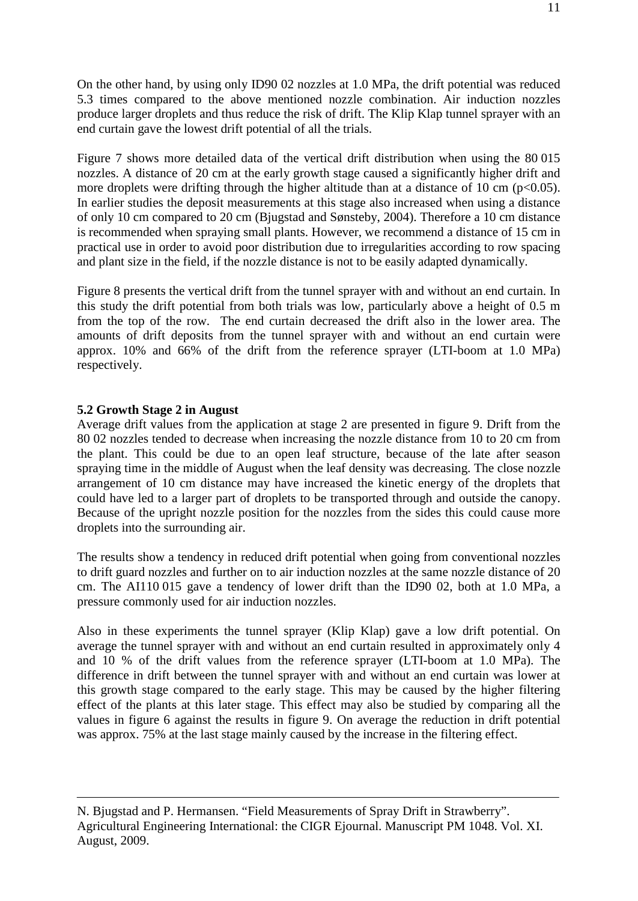On the other hand, by using only ID90 02 nozzles at 1.0 MPa, the drift potential was reduced 5.3 times compared to the above mentioned nozzle combination. Air induction nozzles produce larger droplets and thus reduce the risk of drift. The Klip Klap tunnel sprayer with an end curtain gave the lowest drift potential of all the trials.

Figure 7 shows more detailed data of the vertical drift distribution when using the 80 015 nozzles. A distance of 20 cm at the early growth stage caused a significantly higher drift and more droplets were drifting through the higher altitude than at a distance of 10 cm ( $p<0.05$ ). In earlier studies the deposit measurements at this stage also increased when using a distance of only 10 cm compared to 20 cm (Bjugstad and Sønsteby, 2004). Therefore a 10 cm distance is recommended when spraying small plants. However, we recommend a distance of 15 cm in practical use in order to avoid poor distribution due to irregularities according to row spacing and plant size in the field, if the nozzle distance is not to be easily adapted dynamically.

Figure 8 presents the vertical drift from the tunnel sprayer with and without an end curtain. In this study the drift potential from both trials was low, particularly above a height of 0.5 m from the top of the row. The end curtain decreased the drift also in the lower area. The amounts of drift deposits from the tunnel sprayer with and without an end curtain were approx. 10% and 66% of the drift from the reference sprayer (LTI-boom at 1.0 MPa) respectively.

# **5.2 Growth Stage 2 in August**

Average drift values from the application at stage 2 are presented in figure 9. Drift from the 80 02 nozzles tended to decrease when increasing the nozzle distance from 10 to 20 cm from the plant. This could be due to an open leaf structure, because of the late after season spraying time in the middle of August when the leaf density was decreasing. The close nozzle arrangement of 10 cm distance may have increased the kinetic energy of the droplets that could have led to a larger part of droplets to be transported through and outside the canopy. Because of the upright nozzle position for the nozzles from the sides this could cause more droplets into the surrounding air.

The results show a tendency in reduced drift potential when going from conventional nozzles to drift guard nozzles and further on to air induction nozzles at the same nozzle distance of 20 cm. The AI110 015 gave a tendency of lower drift than the ID90 02, both at 1.0 MPa, a pressure commonly used for air induction nozzles.

Also in these experiments the tunnel sprayer (Klip Klap) gave a low drift potential. On average the tunnel sprayer with and without an end curtain resulted in approximately only 4 and 10 % of the drift values from the reference sprayer (LTI-boom at 1.0 MPa). The difference in drift between the tunnel sprayer with and without an end curtain was lower at this growth stage compared to the early stage. This may be caused by the higher filtering effect of the plants at this later stage. This effect may also be studied by comparing all the values in figure 6 against the results in figure 9. On average the reduction in drift potential was approx. 75% at the last stage mainly caused by the increase in the filtering effect.

N. Bjugstad and P. Hermansen. "Field Measurements of Spray Drift in Strawberry". Agricultural Engineering International: the CIGR Ejournal. Manuscript PM 1048. Vol. XI. August, 2009.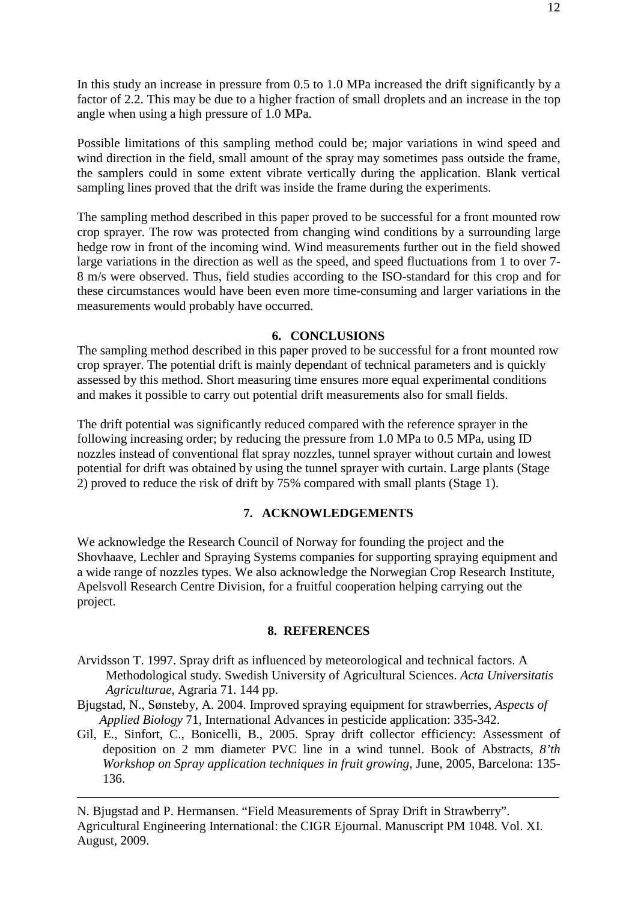In this study an increase in pressure from 0.5 to 1.0 MPa increased the drift significantly by a factor of 2.2. This may be due to a higher fraction of small droplets and an increase in the top angle when using a high pressure of 1.0 MPa.

Possible limitations of this sampling method could be; major variations in wind speed and wind direction in the field, small amount of the spray may sometimes pass outside the frame, the samplers could in some extent vibrate vertically during the application. Blank vertical sampling lines proved that the drift was inside the frame during the experiments.

The sampling method described in this paper proved to be successful for a front mounted row crop sprayer. The row was protected from changing wind conditions by a surrounding large hedge row in front of the incoming wind. Wind measurements further out in the field showed large variations in the direction as well as the speed, and speed fluctuations from 1 to over 7- 8 m/s were observed. Thus, field studies according to the ISO-standard for this crop and for these circumstances would have been even more time-consuming and larger variations in the measurements would probably have occurred.

## **6. CONCLUSIONS**

The sampling method described in this paper proved to be successful for a front mounted row crop sprayer. The potential drift is mainly dependant of technical parameters and is quickly assessed by this method. Short measuring time ensures more equal experimental conditions and makes it possible to carry out potential drift measurements also for small fields.

The drift potential was significantly reduced compared with the reference sprayer in the following increasing order; by reducing the pressure from 1.0 MPa to 0.5 MPa, using ID nozzles instead of conventional flat spray nozzles, tunnel sprayer without curtain and lowest potential for drift was obtained by using the tunnel sprayer with curtain. Large plants (Stage 2) proved to reduce the risk of drift by 75% compared with small plants (Stage 1).

## **7. ACKNOWLEDGEMENTS**

We acknowledge the Research Council of Norway for founding the project and the Shovhaave, Lechler and Spraying Systems companies for supporting spraying equipment and a wide range of nozzles types. We also acknowledge the Norwegian Crop Research Institute, Apelsvoll Research Centre Division, for a fruitful cooperation helping carrying out the project.

#### **8. REFERENCES**

- Arvidsson T. 1997. Spray drift as influenced by meteorological and technical factors. A Methodological study. Swedish University of Agricultural Sciences. *Acta Universitatis Agriculturae,* Agraria 71. 144 pp.
- Bjugstad, N., Sønsteby, A. 2004. Improved spraying equipment for strawberries, *Aspects of Applied Biology* 71, International Advances in pesticide application: 335-342.
- Gil, E., Sinfort, C., Bonicelli, B., 2005. Spray drift collector efficiency: Assessment of deposition on 2 mm diameter PVC line in a wind tunnel. Book of Abstracts, *8'th Workshop on Spray application techniques in fruit growing*, June, 2005, Barcelona: 135- 136.